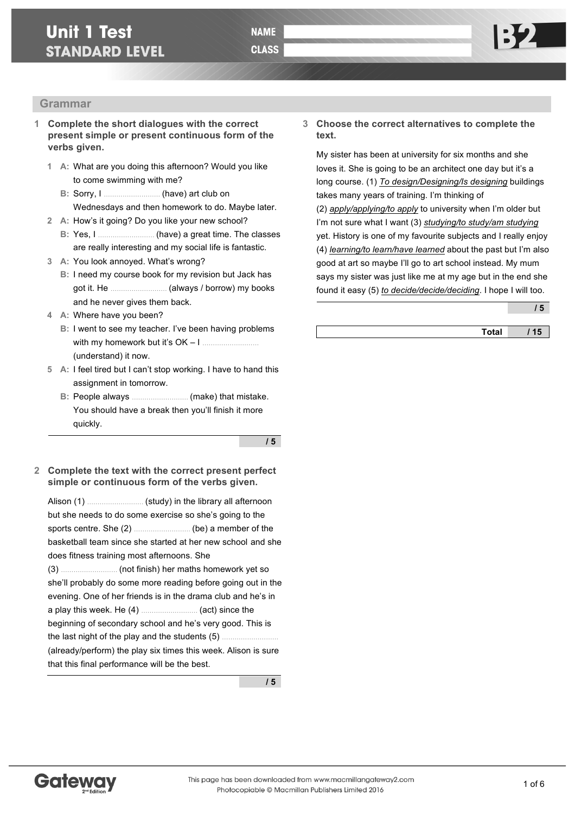# **Unit 1 Test STANDARD LEVEL**

# **Grammar**

- **1 Complete the short dialogues with the correct present simple or present continuous form of the verbs given.**
	- **1 A:** What are you doing this afternoon? Would you like to come swimming with me?
		- **B:** Sorry, I ……………………… (have) art club on Wednesdays and then homework to do. Maybe later.
	- **2 A:** How's it going? Do you like your new school?
		- **B:** Yes, I ……………………… (have) a great time. The classes are really interesting and my social life is fantastic.
	- **3 A:** You look annoyed. What's wrong?
		- **B:** I need my course book for my revision but Jack has got it. He ……………………… (always / borrow) my books and he never gives them back.
	- **4 A:** Where have you been?
		- **B:** I went to see my teacher. I've been having problems with my homework but it's OK – I ……………………… (understand) it now.
	- **5 A:** I feel tired but I can't stop working. I have to hand this assignment in tomorrow.
		- **B:** People always ……………………… (make) that mistake. You should have a break then you'll finish it more quickly.

**/ 5**

**2 Complete the text with the correct present perfect simple or continuous form of the verbs given.**

Alison (1) ……………………… (study) in the library all afternoon but she needs to do some exercise so she's going to the sports centre. She (2) ……………………… (be) a member of the basketball team since she started at her new school and she does fitness training most afternoons. She

(3) ……………………… (not finish) her maths homework yet so she'll probably do some more reading before going out in the evening. One of her friends is in the drama club and he's in a play this week. He (4) ……………………… (act) since the beginning of secondary school and he's very good. This is the last night of the play and the students (5) ……………………… (already/perform) the play six times this week. Alison is sure that this final performance will be the best.

**/ 5**

## **3 Choose the correct alternatives to complete the text.**

My sister has been at university for six months and she loves it. She is going to be an architect one day but it's a long course. (1) *To design/Designing/Is designing* buildings takes many years of training. I'm thinking of

(2) *apply/applying/to apply* to university when I'm older but I'm not sure what I want (3) *studying/to study/am studying* yet. History is one of my favourite subjects and I really enjoy (4) *learning/to learn/have learned* about the past but I'm also good at art so maybe I'll go to art school instead. My mum says my sister was just like me at my age but in the end she found it easy (5) *to decide/decide/deciding*. I hope I will too.

**/ 5**

**Total / 15**

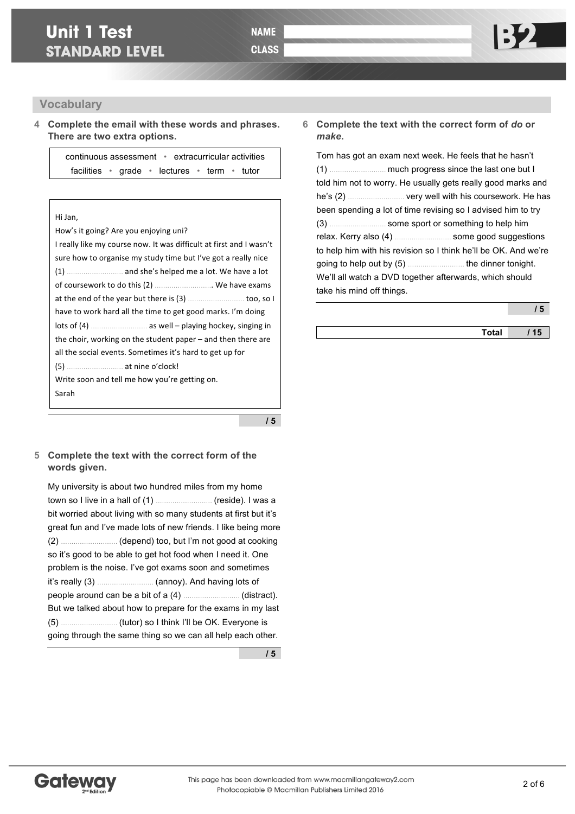## **Vocabulary**

**4 Complete the email with these words and phrases. There are two extra options.**

> continuous assessment • extracurricular activities facilities • grade • lectures • term • tutor

#### Hi Jan,

How's it going? Are you enjoying uni? I really like my course now. It was difficult at first and I wasn't sure how to organise my study time but I've got a really nice (1) ……………………… and she's helped me a lot. We have a lot of coursework to do this (2) ............................. We have exams at the end of the year but there is (3) …………………… too, so I have to work hard all the time to get good marks. I'm doing  $\left| \right|$  lots of (4)  $\ldots$  messes as well – playing hockey, singing in the choir, working on the student paper  $-$  and then there are all the social events. Sometimes it's hard to get up for (5) ……………………… at nine o'clock! Write soon and tell me how you're getting on. Sarah

**/ 5**

### **5 Complete the text with the correct form of the words given.**

My university is about two hundred miles from my home town so I live in a hall of (1) ……………………… (reside). I was a bit worried about living with so many students at first but it's great fun and I've made lots of new friends. I like being more (2) ……………………… (depend) too, but I'm not good at cooking so it's good to be able to get hot food when I need it. One problem is the noise. I've got exams soon and sometimes it's really (3) ……………………… (annoy). And having lots of people around can be a bit of a (4) ……………………… (distract). But we talked about how to prepare for the exams in my last (5) ……………………… (tutor) so I think I'll be OK. Everyone is going through the same thing so we can all help each other.

**/ 5**

## **6 Complete the text with the correct form of** *do* **or**  *make***.**

Tom has got an exam next week. He feels that he hasn't (1) ……………………… much progress since the last one but I told him not to worry. He usually gets really good marks and he's (2) ……………………… very well with his coursework. He has been spending a lot of time revising so I advised him to try (3) ……………………… some sport or something to help him relax. Kerry also (4) ……………………… some good suggestions to help him with his revision so I think he'll be OK. And we're going to help out by (5) ……………………… the dinner tonight. We'll all watch a DVD together afterwards, which should take his mind off things.

**/ 5**

**Total / 15**

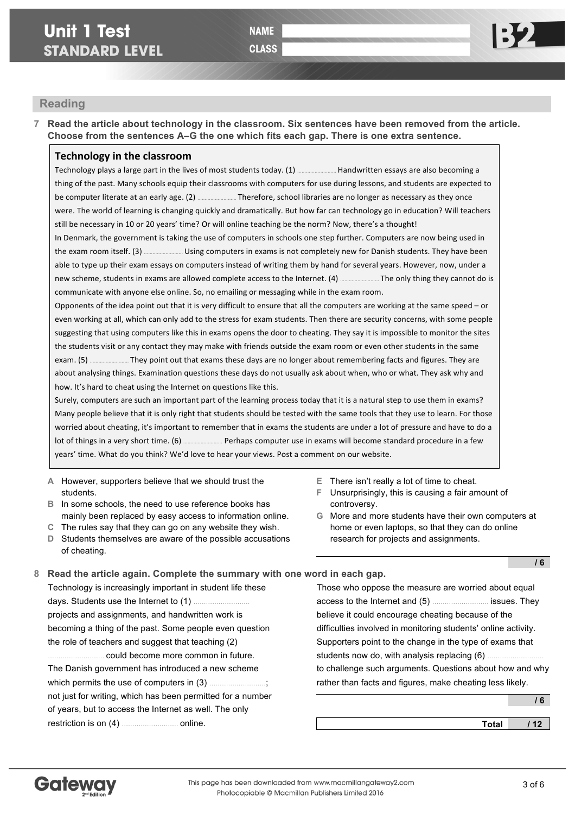**CLASS** 

## **Reading**

**7 Read the article about technology in the classroom. Six sentences have been removed from the article. Choose from the sentences A–G the one which fits each gap. There is one extra sentence.**

## **Technology in the classroom**

Technology plays a large part in the lives of most students today. (1) …………………… Handwritten essays are also becoming a thing of the past. Many schools equip their classrooms with computers for use during lessons, and students are expected to be computer literate at an early age. (2) **EXENDED** Therefore, school libraries are no longer as necessary as they once were. The world of learning is changing quickly and dramatically. But how far can technology go in education? Will teachers still be necessary in 10 or 20 years' time? Or will online teaching be the norm? Now, there's a thought!

In Denmark, the government is taking the use of computers in schools one step further. Computers are now being used in the exam room itself. (3) <u>……………………</u> Using computers in exams is not completely new for Danish students. They have been able to type up their exam essays on computers instead of writing them by hand for several years. However, now, under a new scheme, students in exams are allowed complete access to the Internet. (4) ……………………… The only thing they cannot do is communicate with anyone else online. So, no emailing or messaging while in the exam room.

Opponents of the idea point out that it is very difficult to ensure that all the computers are working at the same speed – or even working at all, which can only add to the stress for exam students. Then there are security concerns, with some people suggesting that using computers like this in exams opens the door to cheating. They say it is impossible to monitor the sites the students visit or any contact they may make with friends outside the exam room or even other students in the same exam. (5) ...............................They point out that exams these days are no longer about remembering facts and figures. They are about analysing things. Examination questions these days do not usually ask about when, who or what. They ask why and how. It's hard to cheat using the Internet on questions like this.

Surely, computers are such an important part of the learning process today that it is a natural step to use them in exams? Many people believe that it is only right that students should be tested with the same tools that they use to learn. For those worried about cheating, it's important to remember that in exams the students are under a lot of pressure and have to do a lot of things in a very short time. (6) ........................... Perhaps computer use in exams will become standard procedure in a few years' time. What do you think? We'd love to hear your views. Post a comment on our website.

- **A** However, supporters believe that we should trust the students.
- **B** In some schools, the need to use reference books has mainly been replaced by easy access to information online.
- **C** The rules say that they can go on any website they wish.
- **D** Students themselves are aware of the possible accusations of cheating.
- **E** There isn't really a lot of time to cheat.
- **F** Unsurprisingly, this is causing a fair amount of controversy.
- **G** More and more students have their own computers at home or even laptops, so that they can do online research for projects and assignments.

| 8 Read the article again. Complete the summary with one word in each gap. |  |  |
|---------------------------------------------------------------------------|--|--|

Technology is increasingly important in student life these days. Students use the Internet to (1). projects and assignments, and handwritten work is becoming a thing of the past. Some people even question the role of teachers and suggest that teaching (2) ……………………… could become more common in future. The Danish government has introduced a new scheme which permits the use of computers in (3). not just for writing, which has been permitted for a number of years, but to access the Internet as well. The only restriction is on (4) ……………………… online.

Those who oppose the measure are worried about equal access to the Internet and (5) ……………………… issues. They believe it could encourage cheating because of the difficulties involved in monitoring students' online activity. Supporters point to the change in the type of exams that students now do, with analysis replacing (6) ……………………… to challenge such arguments. Questions about how and why rather than facts and figures, make cheating less likely.

|              | 6   |
|--------------|-----|
| <b>Total</b> | 112 |



**/ 6**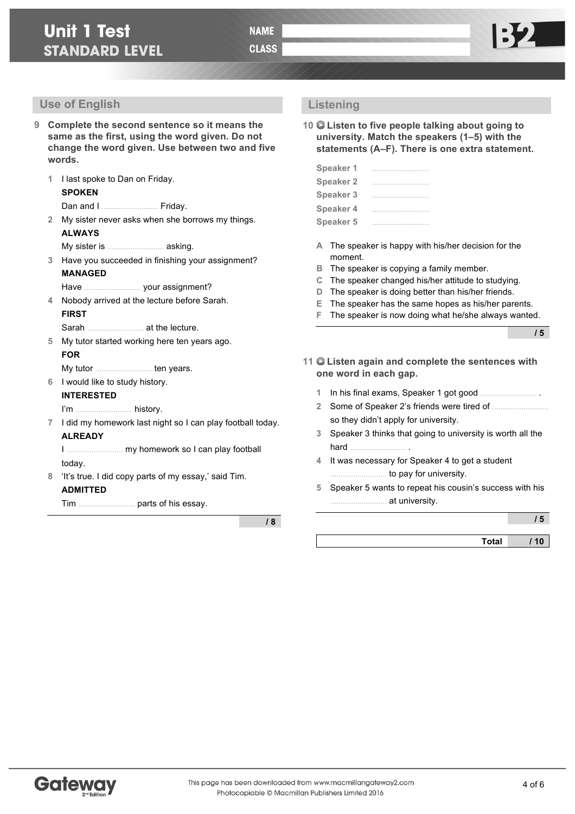- **9 Complete the second sentence so it means the same as the first, using the word given. Do not change the word given. Use between two and five words.**
	- **1** I last spoke to Dan on Friday. **SPOKEN**

Dan and I ……………………… Friday.

- **2** My sister never asks when she borrows my things. **ALWAYS**
	- My sister is ……………………… asking.
- **3** Have you succeeded in finishing your assignment? **MANAGED**
	- Have ……………………… your assignment?
- **4** Nobody arrived at the lecture before Sarah. **FIRST**
	- Sarah ……………………… at the lecture.
- **5** My tutor started working here ten years ago. **FOR**

My tutor ……………………… ten years.

**6** I would like to study history.

#### **INTERESTED**

I'm ……………………… history.

**7** I did my homework last night so I can play football today. **ALREADY**

I ……………………… my homework so I can play football today.

**8** 'It's true. I did copy parts of my essay,' said Tim. **ADMITTED**

Tim ……………………… parts of his essay.

**/ 8**

## **Listening**

**10 Listen to five people talking about going to university. Match the speakers (1–5) with the statements (A–F). There is one extra statement.**

| Speaker 1        |  |  |  |  |  |  |  |  |  |  |   |  |
|------------------|--|--|--|--|--|--|--|--|--|--|---|--|
| <b>Speaker 2</b> |  |  |  |  |  |  |  |  |  |  |   |  |
| <b>Speaker 3</b> |  |  |  |  |  |  |  |  |  |  |   |  |
| <b>Speaker 4</b> |  |  |  |  |  |  |  |  |  |  |   |  |
| <b>Speaker 5</b> |  |  |  |  |  |  |  |  |  |  | . |  |

- **A** The speaker is happy with his/her decision for the moment.
- **B** The speaker is copying a family member.
- **C** The speaker changed his/her attitude to studying.
- **D** The speaker is doing better than his/her friends.
- **E** The speaker has the same hopes as his/her parents.
- **F** The speaker is now doing what he/she always wanted.

**/ 5**

- **11 Listen again and complete the sentences with one word in each gap.**
	- **1** In his final exams, Speaker 1 got good ……………………… .
	- **2** Some of Speaker 2's friends were tired of ……………………… so they didn't apply for university.
	- **3** Speaker 3 thinks that going to university is worth all the hard ……………………… .
	- **4** It was necessary for Speaker 4 to get a student ……………………… to pay for university.
	- **5** Speaker 5 wants to repeat his cousin's success with his ……………………… at university.

|              | ' 5 |
|--------------|-----|
| <b>Total</b> | 10  |

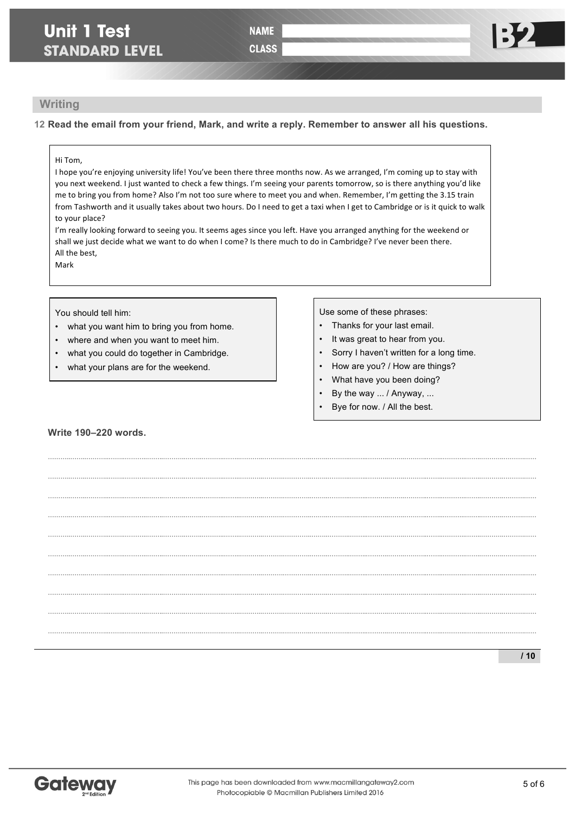# **Unit 1 Test STANDARD LEVEL**

**CLASS** 

## **Writing**

**12 Read the email from your friend, Mark, and write a reply. Remember to answer all his questions.**

### Hi Tom,

I hope you're enjoying university life! You've been there three months now. As we arranged, I'm coming up to stay with you next weekend. I just wanted to check a few things. I'm seeing your parents tomorrow, so is there anything you'd like me to bring you from home? Also I'm not too sure where to meet you and when. Remember, I'm getting the 3.15 train from Tashworth and it usually takes about two hours. Do I need to get a taxi when I get to Cambridge or is it quick to walk to your place?

I'm really looking forward to seeing you. It seems ages since you left. Have you arranged anything for the weekend or shall we just decide what we want to do when I come? Is there much to do in Cambridge? I've never been there. All the best.

**………..……..………..……..………..……..………..……..………..……..………..……….…………..……..………..……..………..……..………..……..………..……..………..……….……**

**………..……..………..……..………..……..………..……..………..……..………..……….…………..……..………..……..………..……..………..……..………..……..………..……….…… ………..……..………..……..………..……..………..……..………..……..………..……….…………..……..………..……..………..……..………..……..………..……..………..……….…… ………..……..………..……..………..……..………..……..………..……..………..……….…………..……..………..……..………..……..………..……..………..……..………..……….……**

**………..……..………..……..………..……..………..……..………..……..………..……….…………..……..………..……..………..……..………..……..………..……..………..……….…… ………..……..………..……..………..……..………..……..………..……..………..……….…………..……..………..……..………..……..………..……..………..……..………..……….…… ………..……..………..……..………..……..………..……..………..……..………..……….…………..……..………..……..………..……..………..……..………..……..………..……….……**

**………..……..………..……..………..……..………..……..………..……..………..……….…………..……..………..……..………..……..………..……..………..……..………..……….…… ………..……..………..……..………..……..………..……..………..……..………..……….…………..……..………..……..………..……..………..……..………..……..………..……….…… ………..……..………..……..………..……..………..……..………..……..………..……….…………..……..………..……..………..……..………..……..………..……..………..……….……**

Mark

You should tell him:

- what you want him to bring you from home.
- where and when you want to meet him.
- what you could do together in Cambridge.
- what your plans are for the weekend.

Use some of these phrases:

- Thanks for your last email.
- It was great to hear from you.
- Sorry I haven't written for a long time.
- How are you? / How are things?
- What have you been doing?
- By the way ... / Anyway, ...
- Bye for now. / All the best.

### **Write 190–220 words.**

**/ 10**